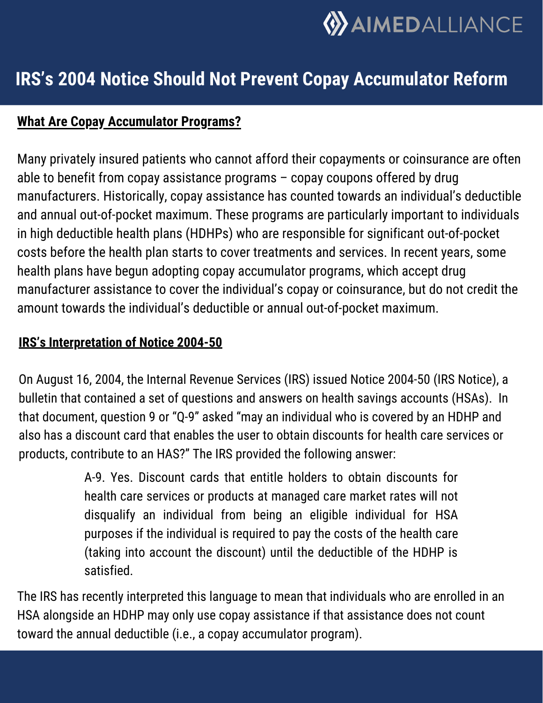

# **IRS's 2004 Notice Should Not Prevent Copay Accumulator Reform**

# **What Are Copay Accumulator Programs?**

Many privately insured patients who cannot afford their copayments or coinsurance are often able to benefit from copay assistance programs – copay coupons offered by drug manufacturers. Historically, copay assistance has counted towards an individual's deductible and annual out-of-pocket maximum. These programs are particularly important to individuals in high deductible health plans (HDHPs) who are responsible for significant out-of-pocket costs before the health plan starts to cover treatments and services. In recent years, some health plans have begun adopting copay accumulator programs, which accept drug manufacturer assistance to cover the individual's copay or coinsurance, but do not credit the amount towards the individual's deductible or annual out-of-pocket maximum.

#### **IRS's Interpretation of Notice 2004-50**

On August 16, 2004, the Internal Revenue Services (IRS) issued Notice 2004-50 (IRS Notice), a bulletin that contained a set of questions and answers on health savings accounts (HSAs). In that document, question 9 or "Q-9" asked "may an individual who is covered by an HDHP and also has a discount card that enables the user to obtain discounts for health care services or products, contribute to an HAS?" The IRS provided the following answer:

> A-9. Yes. Discount cards that entitle holders to obtain discounts for health care services or products at managed care market rates will not disqualify an individual from being an eligible individual for HSA purposes if the individual is required to pay the costs of the health care (taking into account the discount) until the deductible of the HDHP is satisfied.

The IRS has recently interpreted this language to mean that individuals who are enrolled in an HSA alongside an HDHP may only use copay assistance if that assistance does not count toward the annual deductible (i.e., a copay accumulator program).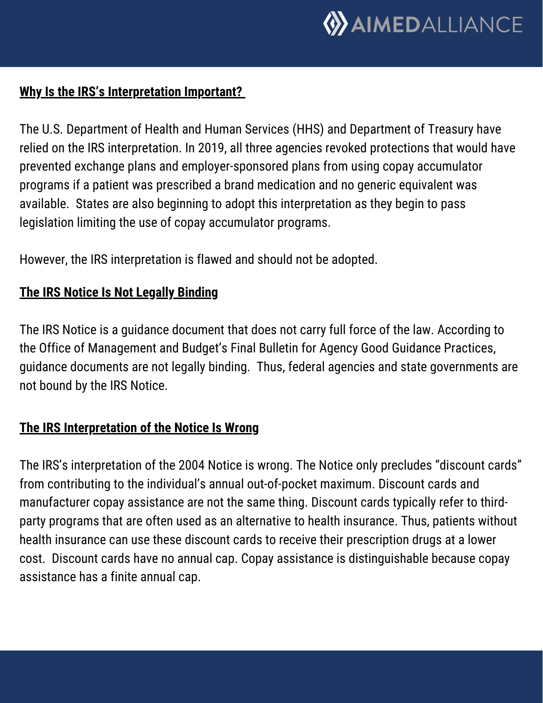

#### **Why Is the IRS's Interpretation Important?**

The U.S. Department of Health and Human Services (HHS) and Department of Treasury have relied on the IRS interpretation. In 2019, all three agencies revoked protections that would have prevented exchange plans and employer-sponsored plans from using copay accumulator programs if a patient was prescribed a brand medication and no generic equivalent was available. States are also beginning to adopt this interpretation as they begin to pass legislation limiting the use of copay accumulator programs.

However, the IRS interpretation is flawed and should not be adopted.

# **The IRS Notice Is Not Legally Binding**

The IRS Notice is a guidance document that does not carry full force of the law. According to the Office of Management and Budget's Final Bulletin for Agency Good Guidance Practices, guidance documents are not legally binding. Thus, federal agencies and state governments are not bound by the IRS Notice.

#### **The IRS Interpretation of the Notice Is Wrong**

The IRS's interpretation of the 2004 Notice is wrong. The Notice only precludes "discount cards" from contributing to the individual's annual out-of-pocket maximum. Discount cards and manufacturer copay assistance are not the same thing. Discount cards typically refer to thirdparty programs that are often used as an alternative to health insurance. Thus, patients without health insurance can use these discount cards to receive their prescription drugs at a lower cost. Discount cards have no annual cap. Copay assistance is distinguishable because copay assistance has a finite annual cap.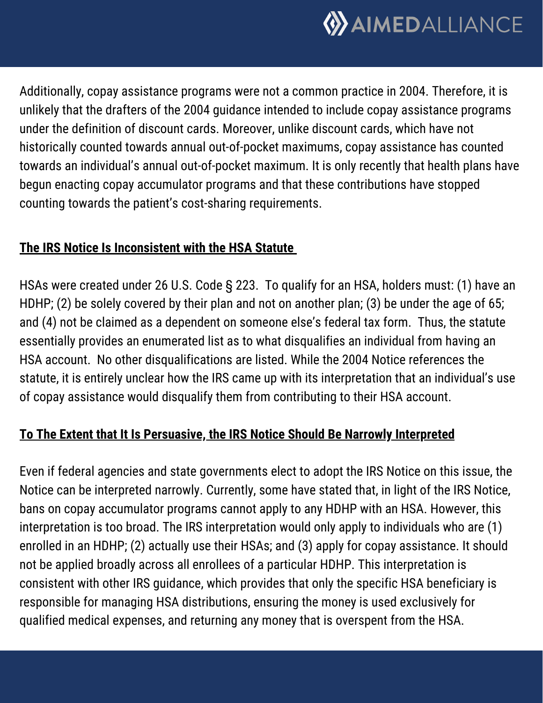

Additionally, copay assistance programs were not a common practice in 2004. Therefore, it is unlikely that the drafters of the 2004 guidance intended to include copay assistance programs under the definition of discount cards. Moreover, unlike discount cards, which have not historically counted towards annual out-of-pocket maximums, copay assistance has counted towards an individual's annual out-of-pocket maximum. It is only recently that health plans have begun enacting copay accumulator programs and that these contributions have stopped counting towards the patient's cost-sharing requirements.

#### **The IRS Notice Is Inconsistent with the HSA Statute**

HSAs were created under 26 U.S. Code § 223. To qualify for an HSA, holders must: (1) have an HDHP; (2) be solely covered by their plan and not on another plan; (3) be under the age of 65; and (4) not be claimed as a dependent on someone else's federal tax form. Thus, the statute essentially provides an enumerated list as to what disqualifies an individual from having an HSA account. No other disqualifications are listed. While the 2004 Notice references the statute, it is entirely unclear how the IRS came up with its interpretation that an individual's use of copay assistance would disqualify them from contributing to their HSA account.

# **To The Extent that It Is Persuasive, the IRS Notice Should Be Narrowly Interpreted**

Even if federal agencies and state governments elect to adopt the IRS Notice on this issue, the Notice can be interpreted narrowly. Currently, some have stated that, in light of the IRS Notice, bans on copay accumulator programs cannot apply to any HDHP with an HSA. However, this interpretation is too broad. The IRS interpretation would only apply to individuals who are (1) enrolled in an HDHP; (2) actually use their HSAs; and (3) apply for copay assistance. It should not be applied broadly across all enrollees of a particular HDHP. This interpretation is consistent with other IRS guidance, which provides that only the specific HSA beneficiary is responsible for managing HSA distributions, ensuring the money is used exclusively for qualified medical expenses, and returning any money that is overspent from the HSA.